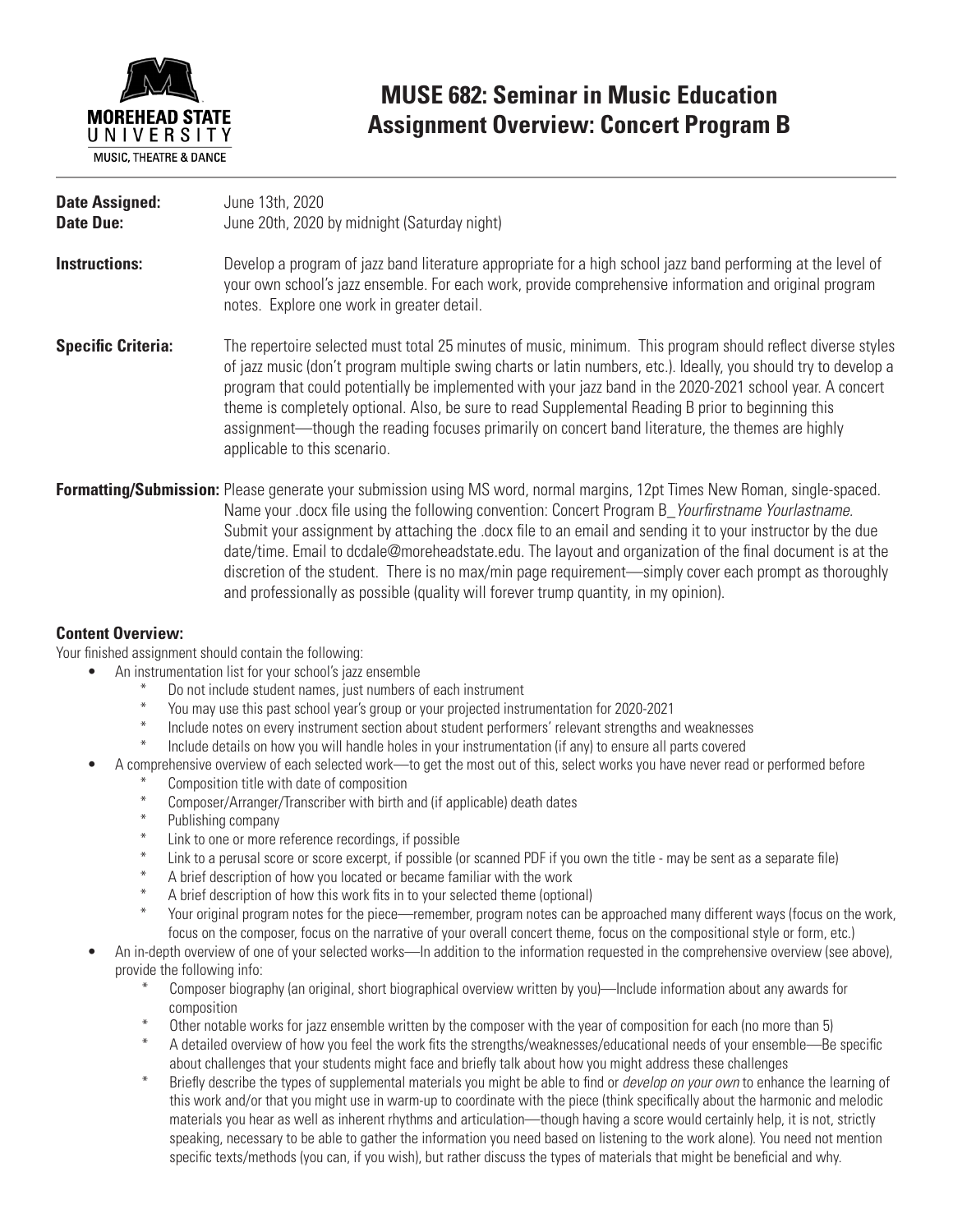

### **MUSE 682: Seminar in Music Education Assignment Overview: Concert Program B**

| <b>Date Assigned:</b><br><b>Date Due:</b> | June 13th, 2020<br>June 20th, 2020 by midnight (Saturday night)                                                                                                                                                                                                                                                                                                                                                                                                                                                                                                                         |
|-------------------------------------------|-----------------------------------------------------------------------------------------------------------------------------------------------------------------------------------------------------------------------------------------------------------------------------------------------------------------------------------------------------------------------------------------------------------------------------------------------------------------------------------------------------------------------------------------------------------------------------------------|
| Instructions:                             | Develop a program of jazz band literature appropriate for a high school jazz band performing at the level of<br>your own school's jazz ensemble. For each work, provide comprehensive information and original program<br>notes. Explore one work in greater detail.                                                                                                                                                                                                                                                                                                                    |
| <b>Specific Criteria:</b>                 | The repertoire selected must total 25 minutes of music, minimum. This program should reflect diverse styles<br>of jazz music (don't program multiple swing charts or latin numbers, etc.). Ideally, you should try to develop a<br>program that could potentially be implemented with your jazz band in the 2020-2021 school year. A concert<br>theme is completely optional. Also, be sure to read Supplemental Reading B prior to beginning this<br>assignment—though the reading focuses primarily on concert band literature, the themes are highly<br>applicable to this scenario. |
|                                           | <b>Formatting/Submission:</b> Please generate your submission using MS word, normal margins, 12pt Times New Roman, single-spaced.<br>Name your, docx file using the following convention: Concert Program B, <i>Yourfirstname Yourlastname</i>                                                                                                                                                                                                                                                                                                                                          |

ne using the following convention: Concert Progra Submit your assignment by attaching the .docx file to an email and sending it to your instructor by the due date/time. Email to dcdale@moreheadstate.edu. The layout and organization of the final document is at the discretion of the student. There is no max/min page requirement—simply cover each prompt as thoroughly and professionally as possible (quality will forever trump quantity, in my opinion).

#### **Content Overview:**

Your finished assignment should contain the following:

- An instrumentation list for your school's jazz ensemble
	- \* Do not include student names, just numbers of each instrument
	- \* You may use this past school year's group or your projected instrumentation for 2020-2021
	- Include notes on every instrument section about student performers' relevant strengths and weaknesses
	- Include details on how you will handle holes in your instrumentation (if any) to ensure all parts covered
	- A comprehensive overview of each selected work—to get the most out of this, select works you have never read or performed before
		- Composition title with date of composition
		- \* Composer/Arranger/Transcriber with birth and (if applicable) death dates
		- Publishing company
		- Link to one or more reference recordings, if possible
		- Link to a perusal score or score excerpt, if possible (or scanned PDF if you own the title may be sent as a separate file)
		- $*$  A brief description of how you located or became familiar with the work  $*$  A brief description of bow this work fits in to your solocted theme (option
		- A brief description of how this work fits in to your selected theme (optional)
		- Your original program notes for the piece—remember, program notes can be approached many different ways (focus on the work, focus on the composer, focus on the narrative of your overall concert theme, focus on the compositional style or form, etc.)
- An in-depth overview of one of your selected works—In addition to the information requested in the comprehensive overview (see above), provide the following info:
	- \* Composer biography (an original, short biographical overview written by you)—Include information about any awards for composition
	- Other notable works for jazz ensemble written by the composer with the year of composition for each (no more than 5)
	- A detailed overview of how you feel the work fits the strengths/weaknesses/educational needs of your ensemble—Be specific about challenges that your students might face and briefly talk about how you might address these challenges
	- \* Briefly describe the types of supplemental materials you might be able to find or *develop on your own* to enhance the learning of this work and/or that you might use in warm-up to coordinate with the piece (think specifically about the harmonic and melodic materials you hear as well as inherent rhythms and articulation—though having a score would certainly help, it is not, strictly speaking, necessary to be able to gather the information you need based on listening to the work alone). You need not mention specific texts/methods (you can, if you wish), but rather discuss the types of materials that might be beneficial and why.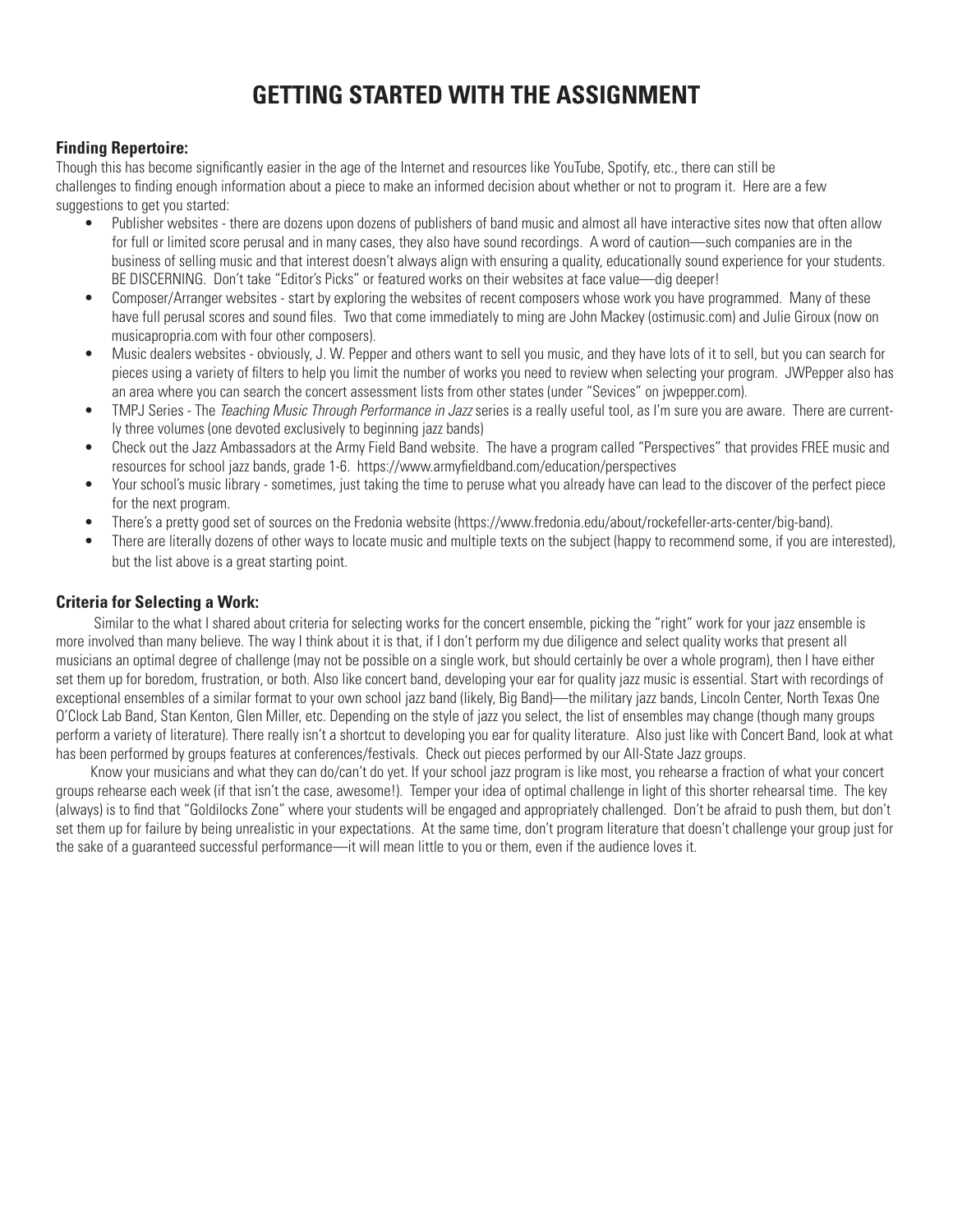## **GETTING STARTED WITH THE ASSIGNMENT**

#### **Finding Repertoire:**

Though this has become significantly easier in the age of the Internet and resources like YouTube, Spotify, etc., there can still be challenges to finding enough information about a piece to make an informed decision about whether or not to program it. Here are a few suggestions to get you started:

- Publisher websites there are dozens upon dozens of publishers of band music and almost all have interactive sites now that often allow for full or limited score perusal and in many cases, they also have sound recordings. A word of caution—such companies are in the business of selling music and that interest doesn't always align with ensuring a quality, educationally sound experience for your students. BE DISCERNING. Don't take "Editor's Picks" or featured works on their websites at face value—dig deeper!
- Composer/Arranger websites start by exploring the websites of recent composers whose work you have programmed. Many of these have full perusal scores and sound files. Two that come immediately to ming are John Mackey (ostimusic.com) and Julie Giroux (now on musicapropria.com with four other composers).
- Music dealers websites obviously, J. W. Pepper and others want to sell you music, and they have lots of it to sell, but you can search for pieces using a variety of filters to help you limit the number of works you need to review when selecting your program. JWPepper also has an area where you can search the concert assessment lists from other states (under "Sevices" on jwpepper.com).
- TMPJ Series The *Teaching Music Through Performance in Jazz* series is a really useful tool, as I'm sure you are aware. There are currently three volumes (one devoted exclusively to beginning jazz bands)
- Check out the Jazz Ambassadors at the Army Field Band website. The have a program called "Perspectives" that provides FREE music and resources for school jazz bands, grade 1-6. https://www.armyfieldband.com/education/perspectives
- Your school's music library sometimes, just taking the time to peruse what you already have can lead to the discover of the perfect piece for the next program.
- There's a pretty good set of sources on the Fredonia website (https://www.fredonia.edu/about/rockefeller-arts-center/big-band).
- There are literally dozens of other ways to locate music and multiple texts on the subject (happy to recommend some, if you are interested), but the list above is a great starting point.

#### **Criteria for Selecting a Work:**

 Similar to the what I shared about criteria for selecting works for the concert ensemble, picking the "right" work for your jazz ensemble is more involved than many believe. The way I think about it is that, if I don't perform my due diligence and select quality works that present all musicians an optimal degree of challenge (may not be possible on a single work, but should certainly be over a whole program), then I have either set them up for boredom, frustration, or both. Also like concert band, developing your ear for quality jazz music is essential. Start with recordings of exceptional ensembles of a similar format to your own school jazz band (likely, Big Band)—the military jazz bands, Lincoln Center, North Texas One O'Clock Lab Band, Stan Kenton, Glen Miller, etc. Depending on the style of jazz you select, the list of ensembles may change (though many groups perform a variety of literature). There really isn't a shortcut to developing you ear for quality literature. Also just like with Concert Band, look at what has been performed by groups features at conferences/festivals. Check out pieces performed by our All-State Jazz groups.

 Know your musicians and what they can do/can't do yet. If your school jazz program is like most, you rehearse a fraction of what your concert groups rehearse each week (if that isn't the case, awesome!). Temper your idea of optimal challenge in light of this shorter rehearsal time. The key (always) is to find that "Goldilocks Zone" where your students will be engaged and appropriately challenged. Don't be afraid to push them, but don't set them up for failure by being unrealistic in your expectations. At the same time, don't program literature that doesn't challenge your group just for the sake of a guaranteed successful performance—it will mean little to you or them, even if the audience loves it.